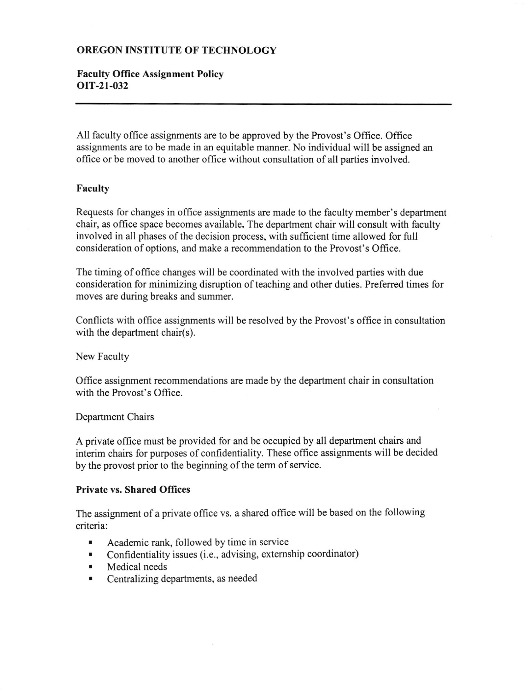# OREGON INSTITUTE OF TECHNOLOGY

# Faculty Office Assignment Policy orT-21-032

All faculty office assignments are to be approved by the Provost's Office. Office assignments are to be made in an equitable manner. No individual will be assigred an office or be moved to another office without consultation of all parties involved.

### Faculty

Requests for changes in office assignments are made to the faculty member's department chair, as office space becomes available. The department chair will consult with faculty involved in all phases of the decision process, with sufficient time allowed for full consideration of options, and make a recommendation to the Provost's Office.

The timing of office changes will be coordinated with the involved parties with due consideration for minimizing disruption of teaching and other duties. Preferred times for moves are during breaks and summer.

Conflicts with offrce assignments will be resolved by the Provost's office in consultation with the department chair(s).

New Faculty

Office assignment recommendations are made by the department chair in consultation with the Provost's Office.

### Department Chairs

A private office must be provided for and be occupied by all department chairs and interim chairs for purposes of confidentiality. These office assignments will be decided by the provost prior to the beginning of the term of service.

### Private vs. Shared Offices

The assignment of a private office vs. a shared office will be based on the following criteria:

- . Academic rank, followed by time in service
- . Confidentiality issues (i.e., advising, extemship coordinator)
- . Medical needs
- . Centralizing departments, as needed